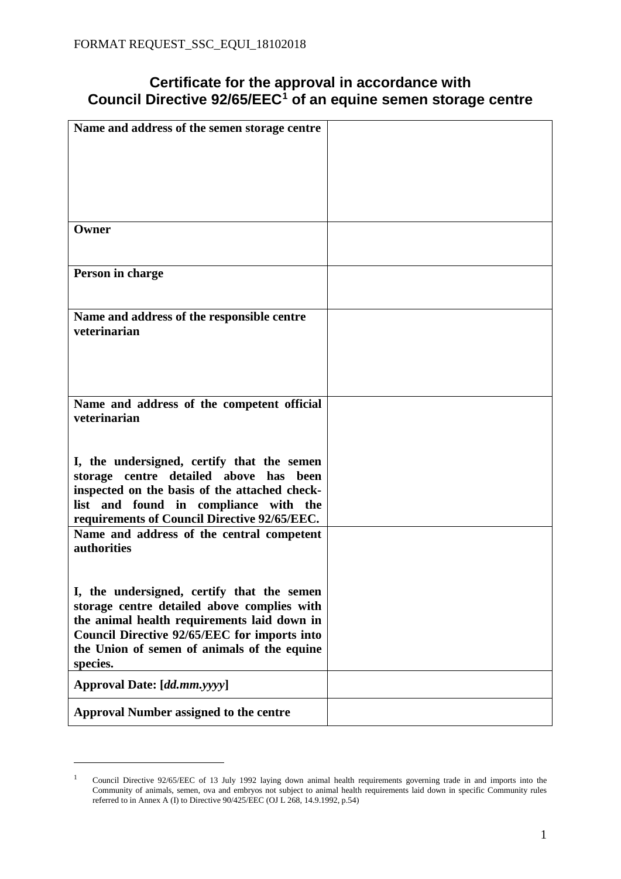## **Certificate for the approval in accordance with Council Directive 92/65/EEC[1](#page-0-0) of an equine semen storage centre**

| Name and address of the semen storage centre  |  |
|-----------------------------------------------|--|
|                                               |  |
|                                               |  |
|                                               |  |
|                                               |  |
|                                               |  |
|                                               |  |
|                                               |  |
|                                               |  |
|                                               |  |
| Owner                                         |  |
|                                               |  |
|                                               |  |
|                                               |  |
| Person in charge                              |  |
|                                               |  |
|                                               |  |
|                                               |  |
| Name and address of the responsible centre    |  |
| veterinarian                                  |  |
|                                               |  |
|                                               |  |
|                                               |  |
|                                               |  |
|                                               |  |
|                                               |  |
| Name and address of the competent official    |  |
|                                               |  |
| veterinarian                                  |  |
|                                               |  |
|                                               |  |
|                                               |  |
| I, the undersigned, certify that the semen    |  |
| storage centre detailed above has been        |  |
|                                               |  |
| inspected on the basis of the attached check- |  |
| list and found in compliance with the         |  |
| requirements of Council Directive 92/65/EEC.  |  |
|                                               |  |
| Name and address of the central competent     |  |
| authorities                                   |  |
|                                               |  |
|                                               |  |
|                                               |  |
| I, the undersigned, certify that the semen    |  |
|                                               |  |
| storage centre detailed above complies with   |  |
| the animal health requirements laid down in   |  |
| Council Directive 92/65/EEC for imports into  |  |
|                                               |  |
| the Union of semen of animals of the equine   |  |
| species.                                      |  |
|                                               |  |
| Approval Date: [dd.mm.yyyy]                   |  |
|                                               |  |
|                                               |  |
| <b>Approval Number assigned to the centre</b> |  |
|                                               |  |

 $\overline{a}$ 

<span id="page-0-0"></span><sup>&</sup>lt;sup>1</sup> Council Directive 92/65/EEC of 13 July 1992 laying down animal health requirements governing trade in and imports into the Community of animals, semen, ova and embryos not subject to animal health requirements laid down in specific Community rules referred to in Annex A (I) to Directive 90/425/EEC (OJ L 268, 14.9.1992, p.54)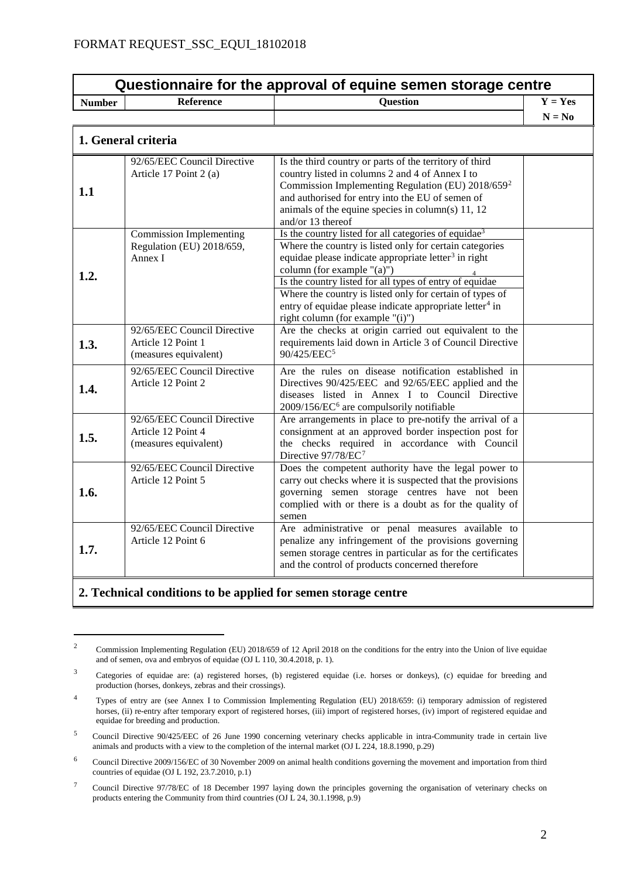| Questionnaire for the approval of equine semen storage centre |                                                                            |                                                                                                                                                                                                                                                                                                                                                                                                                                                                    |           |  |
|---------------------------------------------------------------|----------------------------------------------------------------------------|--------------------------------------------------------------------------------------------------------------------------------------------------------------------------------------------------------------------------------------------------------------------------------------------------------------------------------------------------------------------------------------------------------------------------------------------------------------------|-----------|--|
| <b>Number</b>                                                 | <b>Reference</b>                                                           | <b>Question</b>                                                                                                                                                                                                                                                                                                                                                                                                                                                    | $Y = Yes$ |  |
|                                                               |                                                                            |                                                                                                                                                                                                                                                                                                                                                                                                                                                                    | $N = No$  |  |
| 1. General criteria                                           |                                                                            |                                                                                                                                                                                                                                                                                                                                                                                                                                                                    |           |  |
| 1.1                                                           | 92/65/EEC Council Directive<br>Article 17 Point 2 (a)                      | Is the third country or parts of the territory of third<br>country listed in columns 2 and 4 of Annex I to<br>Commission Implementing Regulation (EU) 2018/659 <sup>2</sup><br>and authorised for entry into the EU of semen of<br>animals of the equine species in column(s) $11, 12$<br>and/or 13 thereof                                                                                                                                                        |           |  |
| 1.2.                                                          | <b>Commission Implementing</b><br>Regulation (EU) 2018/659,<br>Annex I     | Is the country listed for all categories of equidae <sup>3</sup><br>Where the country is listed only for certain categories<br>equidae please indicate appropriate letter <sup>3</sup> in right<br>column (for example $"(a)"$ )<br>Is the country listed for all types of entry of equidae<br>Where the country is listed only for certain of types of<br>entry of equidae please indicate appropriate letter <sup>4</sup> in<br>right column (for example "(i)") |           |  |
| 1.3.                                                          | 92/65/EEC Council Directive<br>Article 12 Point 1<br>(measures equivalent) | Are the checks at origin carried out equivalent to the<br>requirements laid down in Article 3 of Council Directive<br>90/425/EEC <sup>5</sup>                                                                                                                                                                                                                                                                                                                      |           |  |
| 1.4.                                                          | 92/65/EEC Council Directive<br>Article 12 Point 2                          | Are the rules on disease notification established in<br>Directives 90/425/EEC and 92/65/EEC applied and the<br>diseases listed in Annex I to Council Directive<br>2009/156/EC <sup>6</sup> are compulsorily notifiable                                                                                                                                                                                                                                             |           |  |
| 1.5.                                                          | 92/65/EEC Council Directive<br>Article 12 Point 4<br>(measures equivalent) | Are arrangements in place to pre-notify the arrival of a<br>consignment at an approved border inspection post for<br>the checks required in accordance with Council<br>Directive 97/78/EC <sup>7</sup>                                                                                                                                                                                                                                                             |           |  |
| 1.6.                                                          | 92/65/EEC Council Directive<br>Article 12 Point 5                          | Does the competent authority have the legal power to<br>carry out checks where it is suspected that the provisions<br>governing semen storage centres have not been<br>complied with or there is a doubt as for the quality of<br>semen                                                                                                                                                                                                                            |           |  |
| 1.7.                                                          | 92/65/EEC Council Directive<br>Article 12 Point 6                          | Are administrative or penal measures available to<br>penalize any infringement of the provisions governing<br>semen storage centres in particular as for the certificates<br>and the control of products concerned therefore                                                                                                                                                                                                                                       |           |  |

## **2. Technical conditions to be applied for semen storage centre**

<span id="page-1-0"></span><sup>&</sup>lt;sup>2</sup> Commission Implementing Regulation (EU) 2018/659 of 12 April 2018 on the conditions for the entry into the Union of live equidae and of semen, ova and embryos of equidae (OJ L 110, 30.4.2018, p. 1).

<span id="page-1-1"></span><sup>3</sup> Categories of equidae are: (a) registered horses, (b) registered equidae (i.e. horses or donkeys), (c) equidae for breeding and production (horses, donkeys, zebras and their crossings).

<span id="page-1-2"></span><sup>4</sup> Types of entry are (see Annex I to Commission Implementing Regulation (EU) 2018/659: (i) temporary admission of registered horses, (ii) re-entry after temporary export of registered horses, (iii) import of registered horses, (iv) import of registered equidae and equidae for breeding and production.

<span id="page-1-3"></span><sup>&</sup>lt;sup>5</sup> Council Directive 90/425/EEC of 26 June 1990 concerning veterinary checks applicable in intra-Community trade in certain live animals and products with a view to the completion of the internal market (OJ L 224, 18.8.1990, p.29)

<span id="page-1-4"></span><sup>&</sup>lt;sup>6</sup> Council Directive 2009/156/EC of 30 November 2009 on animal health conditions governing the movement and importation from third countries of equidae (OJ L 192, 23.7.2010, p.1)

<span id="page-1-5"></span><sup>&</sup>lt;sup>7</sup> Council Directive 97/78/EC of 18 December 1997 laying down the principles governing the organisation of veterinary checks on products entering the Community from third countries (OJ  $\tilde{L}$  24, 30.1.1998, p.9)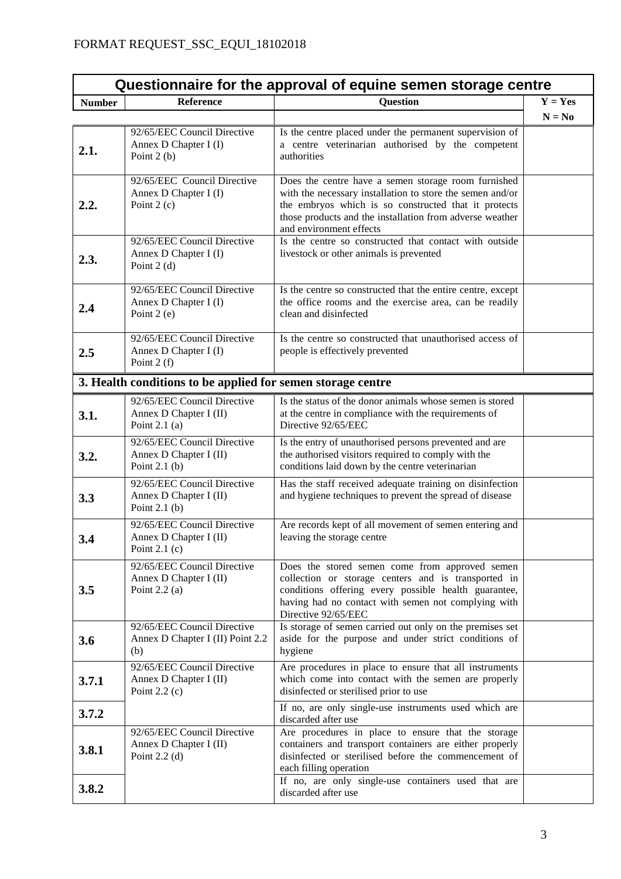| Questionnaire for the approval of equine semen storage centre |                                                                          |                                                                                                                                                                                                                                                                 |           |  |
|---------------------------------------------------------------|--------------------------------------------------------------------------|-----------------------------------------------------------------------------------------------------------------------------------------------------------------------------------------------------------------------------------------------------------------|-----------|--|
| <b>Number</b>                                                 | <b>Reference</b>                                                         | <b>Question</b>                                                                                                                                                                                                                                                 | $Y = Yes$ |  |
|                                                               |                                                                          |                                                                                                                                                                                                                                                                 | $N = No$  |  |
| 2.1.                                                          | 92/65/EEC Council Directive<br>Annex D Chapter I (I)<br>Point $2(b)$     | Is the centre placed under the permanent supervision of<br>a centre veterinarian authorised by the competent<br>authorities                                                                                                                                     |           |  |
| 2.2.                                                          | 92/65/EEC Council Directive<br>Annex D Chapter I (I)<br>Point $2(c)$     | Does the centre have a semen storage room furnished<br>with the necessary installation to store the semen and/or<br>the embryos which is so constructed that it protects<br>those products and the installation from adverse weather<br>and environment effects |           |  |
| 2.3.                                                          | 92/65/EEC Council Directive<br>Annex D Chapter I (I)<br>Point $2(d)$     | Is the centre so constructed that contact with outside<br>livestock or other animals is prevented                                                                                                                                                               |           |  |
| 2.4                                                           | 92/65/EEC Council Directive<br>Annex D Chapter I (I)<br>Point $2(e)$     | Is the centre so constructed that the entire centre, except<br>the office rooms and the exercise area, can be readily<br>clean and disinfected                                                                                                                  |           |  |
| 2.5                                                           | 92/65/EEC Council Directive<br>Annex D Chapter I (I)<br>Point $2(f)$     | Is the centre so constructed that unauthorised access of<br>people is effectively prevented                                                                                                                                                                     |           |  |
|                                                               | 3. Health conditions to be applied for semen storage centre              |                                                                                                                                                                                                                                                                 |           |  |
| 3.1.                                                          | 92/65/EEC Council Directive<br>Annex D Chapter I (II)<br>Point $2.1$ (a) | Is the status of the donor animals whose semen is stored<br>at the centre in compliance with the requirements of<br>Directive 92/65/EEC                                                                                                                         |           |  |
| 3.2.                                                          | 92/65/EEC Council Directive<br>Annex D Chapter I (II)<br>Point $2.1$ (b) | Is the entry of unauthorised persons prevented and are<br>the authorised visitors required to comply with the<br>conditions laid down by the centre veterinarian                                                                                                |           |  |
| 3.3                                                           | 92/65/EEC Council Directive<br>Annex D Chapter I (II)<br>Point $2.1$ (b) | Has the staff received adequate training on disinfection<br>and hygiene techniques to prevent the spread of disease                                                                                                                                             |           |  |
| 3.4                                                           | 92/65/EEC Council Directive<br>Annex D Chapter I (II)<br>Point $2.1$ (c) | Are records kept of all movement of semen entering and<br>leaving the storage centre                                                                                                                                                                            |           |  |
| 3.5                                                           | 92/65/EEC Council Directive<br>Annex D Chapter I (II)<br>Point $2.2$ (a) | Does the stored semen come from approved semen<br>collection or storage centers and is transported in<br>conditions offering every possible health guarantee,<br>having had no contact with semen not complying with<br>Directive 92/65/EEC                     |           |  |
| 3.6                                                           | 92/65/EEC Council Directive<br>Annex D Chapter I (II) Point 2.2<br>(b)   | Is storage of semen carried out only on the premises set<br>aside for the purpose and under strict conditions of<br>hygiene                                                                                                                                     |           |  |
| 3.7.1                                                         | 92/65/EEC Council Directive<br>Annex D Chapter I (II)<br>Point $2.2$ (c) | Are procedures in place to ensure that all instruments<br>which come into contact with the semen are properly<br>disinfected or sterilised prior to use                                                                                                         |           |  |
| 3.7.2                                                         |                                                                          | If no, are only single-use instruments used which are<br>discarded after use                                                                                                                                                                                    |           |  |
| 3.8.1                                                         | 92/65/EEC Council Directive<br>Annex D Chapter I (II)<br>Point $2.2$ (d) | Are procedures in place to ensure that the storage<br>containers and transport containers are either properly<br>disinfected or sterilised before the commencement of<br>each filling operation                                                                 |           |  |
| 3.8.2                                                         |                                                                          | If no, are only single-use containers used that are<br>discarded after use                                                                                                                                                                                      |           |  |